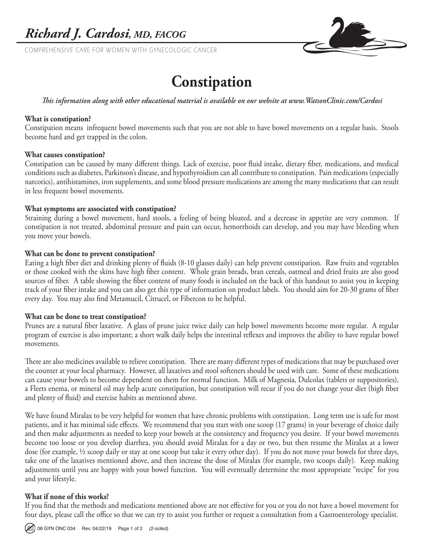COMPREHENSIVE CARE FOR WOMEN WITH GYNECOLOGIC CANCER



# **Constipation**

# *This information along with other educational material is available on our website at www.WatsonClinic.com/Cardosi*

# **What is constipation?**

Constipation means infrequent bowel movements such that you are not able to have bowel movements on a regular basis. Stools become hard and get trapped in the colon.

#### **What causes constipation?**

Constipation can be caused by many different things. Lack of exercise, poor fluid intake, dietary fiber, medications, and medical conditions such as diabetes, Parkinson's disease, and hypothyroidism can all contribute to constipation. Pain medications (especially narcotics), antihistamines, iron supplements, and some blood pressure medications are among the many medications that can result in less frequent bowel movements.

#### **What symptoms are associated with constipation?**

Straining during a bowel movement, hard stools, a feeling of being bloated, and a decrease in appetite are very common. If constipation is not treated, abdominal pressure and pain can occur, hemorrhoids can develop, and you may have bleeding when you move your bowels.

#### **What can be done to prevent constipation?**

Eating a high fiber diet and drinking plenty of fluids (8-10 glasses daily) can help prevent constipation. Raw fruits and vegetables or those cooked with the skins have high fiber content. Whole grain breads, bran cereals, oatmeal and dried fruits are also good sources of fiber. A table showing the fiber content of many foods is included on the back of this handout to assist you in keeping track of your fiber intake and you can also get this type of information on product labels. You should aim for 20-30 grams of fiber every day. You may also find Metamucil, Citrucel, or Fibercon to be helpful.

#### **What can be done to treat constipation?**

Prunes are a natural fiber laxative. A glass of prune juice twice daily can help bowel movements become more regular. A regular program of exercise is also important; a short walk daily helps the intestinal reflexes and improves the ability to have regular bowel movements.

There are also medicines available to relieve constipation. There are many different types of medications that may be purchased over the counter at your local pharmacy. However, all laxatives and stool softeners should be used with care. Some of these medications can cause your bowels to become dependent on them for normal function. Milk of Magnesia, Dulcolax (tablets or suppositories), a Fleets enema, or mineral oil may help acute constipation, but constipation will recur if you do not change your diet (high fiber and plenty of fluid) and exercise habits as mentioned above.

We have found Miralax to be very helpful for women that have chronic problems with constipation. Long term use is safe for most patients, and it has minimal side effects. We recommend that you start with one scoop (17 grams) in your beverage of choice daily and then make adjustments as needed to keep your bowels at the consistency and frequency you desire. If your bowel movements become too loose or you develop diarrhea, you should avoid Miralax for a day or two, but then resume the Miralax at a lower dose (for example, ½ scoop daily or stay at one scoop but take it every other day). If you do not move your bowels for three days, take one of the laxatives mentioned above, and then increase the dose of Miralax (for example, two scoops daily). Keep making adjustments until you are happy with your bowel function. You will eventually determine the most appropriate "recipe" for you and your lifestyle.

# **What if none of this works?**

If you find that the methods and medications mentioned above are not effective for you or you do not have a bowel movement for four days, please call the office so that we can try to assist you further or request a consultation from a Gastroenterology specialist.